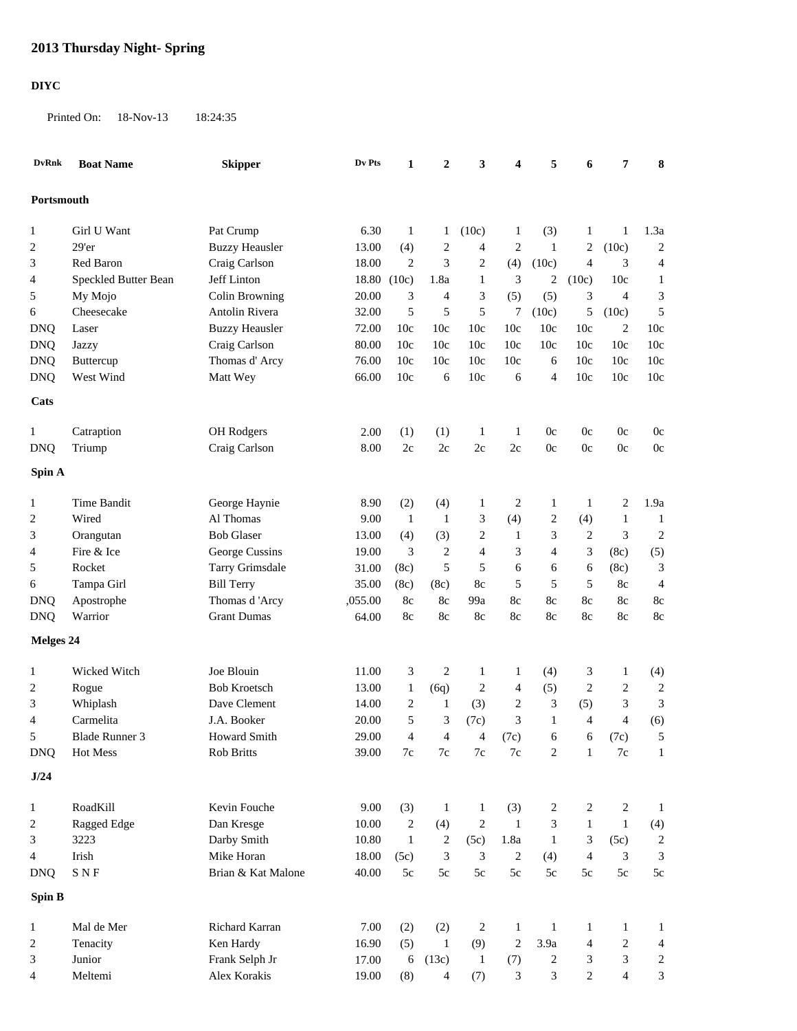## **2013 Thursday Night- Spring**

## **DIYC**

Printed On: 18-Nov-13 18:24:35

| <b>DvRnk</b>    | <b>Boat Name</b>                  | <b>Skipper</b>             | Dv Pts         | 1                         | $\boldsymbol{2}$      | 3                                  | 4                     | 5                   | 6                 | 7                     | 8                     |
|-----------------|-----------------------------------|----------------------------|----------------|---------------------------|-----------------------|------------------------------------|-----------------------|---------------------|-------------------|-----------------------|-----------------------|
| Portsmouth      |                                   |                            |                |                           |                       |                                    |                       |                     |                   |                       |                       |
| $\mathbf{1}$    | Girl U Want                       | Pat Crump                  | 6.30           | $\mathbf{1}$              | 1                     | (10c)                              | 1                     | (3)                 | 1                 | 1                     | 1.3a                  |
| 2               | $29'$ er                          | <b>Buzzy Heausler</b>      | 13.00          | (4)                       | 2                     | $\overline{4}$                     | 2                     | -1                  | $\overline{2}$    | (10c)                 | $\overline{c}$        |
| 3               | Red Baron                         | Craig Carlson              | 18.00          | $\overline{2}$            | 3                     | $\overline{c}$                     | (4)                   | (10c)               | $\overline{4}$    | 3                     | $\overline{4}$        |
| 4               | Speckled Butter Bean              | Jeff Linton                | 18.80 (10c)    |                           | 1.8a                  | $\mathbf{1}$                       | 3                     | 2                   | (10c)             | 10c                   | 1                     |
| 5               | My Mojo                           | Colin Browning             | 20.00          | 3                         | 4                     | 3                                  | (5)                   | (5)                 | 3                 | $\overline{4}$        | 3                     |
| 6               | Cheesecake                        | Antolin Rivera             | 32.00          | 5                         | 5                     | 5                                  | 7                     | (10c)               | 5                 | (10c)                 | 5                     |
| <b>DNQ</b>      | Laser                             | <b>Buzzy Heausler</b>      | 72.00          | 10c                       | 10c                   | 10c                                | 10 <sub>c</sub>       | 10c                 | 10c               | $\overline{c}$        | 10c                   |
| <b>DNQ</b>      | Jazzy                             | Craig Carlson              | 80.00          | 10c                       | 10c                   | 10c                                | 10c                   | 10c                 | 10c               | 10c                   | 10c                   |
| <b>DNQ</b>      | Buttercup                         | Thomas d' Arcy             | 76.00          | 10c                       | 10c                   | 10c                                | 10c                   | 6                   | 10c               | 10c                   | 10c                   |
| <b>DNQ</b>      | West Wind                         | Matt Wey                   | 66.00          | 10c                       | 6                     | 10c                                | 6                     | 4                   | 10c               | 10c                   | 10c                   |
| Cats            |                                   |                            |                |                           |                       |                                    |                       |                     |                   |                       |                       |
| 1               | Catraption                        | OH Rodgers                 | 2.00           | (1)                       | (1)                   | $\mathbf{1}$                       | 1                     | 0c                  | 0c                | 0c                    | 0c                    |
| <b>DNQ</b>      | Triump                            | Craig Carlson              | 8.00           | 2c                        | $2\mathrm{c}$         | 2c                                 | 2c                    | $0\mathrm{c}$       | 0c                | 0c                    | 0c                    |
| Spin A          |                                   |                            |                |                           |                       |                                    |                       |                     |                   |                       |                       |
|                 | Time Bandit                       |                            |                |                           |                       |                                    |                       |                     |                   |                       | 1.9a                  |
| $\mathbf{1}$    | Wired                             | George Haynie<br>Al Thomas | 8.90<br>9.00   | (2)<br>$\mathbf{1}$       | (4)<br>$\mathbf{1}$   | $\mathbf{1}$                       | 2                     | $\mathbf{1}$        | $\mathbf{1}$      | 2<br>$\mathbf{1}$     |                       |
| 2               |                                   | <b>Bob Glaser</b>          | 13.00          |                           |                       | 3                                  | (4)                   | 2                   | (4)<br>$\sqrt{2}$ |                       | $\mathbf{1}$          |
| 3<br>4          | Orangutan<br>Fire & Ice           | George Cussins             | 19.00          | (4)<br>3                  | (3)<br>$\overline{2}$ | $\overline{c}$<br>$\overline{4}$   | 1<br>3                | 3<br>$\overline{4}$ | 3                 | 3<br>(8c)             | $\overline{c}$<br>(5) |
| 5               | Rocket                            | Tarry Grimsdale            | 31.00          | (8c)                      | 5                     | 5                                  | 6                     | 6                   | 6                 | (8c)                  | 3                     |
|                 | Tampa Girl                        | <b>Bill Terry</b>          | 35.00          | (8c)                      | (8c)                  | 8c                                 | 5                     | 5                   | 5                 | 8c                    | $\overline{4}$        |
| 6<br><b>DNQ</b> | Apostrophe                        | Thomas d'Arcy              | ,055.00        | 8c                        | 8c                    | 99a                                | 8c                    | 8c                  | 8c                | 8c                    | 8c                    |
| <b>DNQ</b>      | Warrior                           | <b>Grant Dumas</b>         | 64.00          | 8c                        | 8c                    | 8c                                 | 8c                    | 8c                  | 8c                | 8c                    | 8c                    |
| Melges 24       |                                   |                            |                |                           |                       |                                    |                       |                     |                   |                       |                       |
|                 |                                   |                            |                |                           |                       |                                    |                       |                     |                   |                       |                       |
| 1               | Wicked Witch                      | Joe Blouin                 | 11.00          | 3                         | 2                     | $\mathbf{1}$                       | 1                     | (4)                 | 3                 | 1                     | (4)                   |
| 2               | Rogue                             | <b>Bob Kroetsch</b>        | 13.00          | $\mathbf{1}$              | (6q)                  | $\overline{c}$                     | 4                     | (5)                 | $\overline{c}$    | $\boldsymbol{2}$      | $\boldsymbol{2}$      |
| 3               | Whiplash                          | Dave Clement               | 14.00          | $\overline{2}$            | 1                     | (3)                                | 2                     | 3                   | (5)               | 3                     | 3                     |
| 4               | Carmelita                         | J.A. Booker                | 20.00          | 5                         | 3                     | (7c)                               | 3                     | $\mathbf{1}$        | $\overline{4}$    | 4                     | (6)                   |
| 5<br><b>DNQ</b> | <b>Blade Runner 3</b><br>Hot Mess | Howard Smith<br>Rob Britts | 29.00<br>39.00 | $\Delta$<br>$7\mathrm{c}$ | 4<br>$7\mathrm{c}$    | $\mathbf{\Delta}$<br>$7\mathrm{c}$ | (7c)<br>$7\mathrm{c}$ | 6<br>$\overline{c}$ | 6<br>$\mathbf{1}$ | (7c)<br>$7\mathrm{c}$ | 5<br>$\mathbf{1}$     |
| J/24            |                                   |                            |                |                           |                       |                                    |                       |                     |                   |                       |                       |
|                 |                                   |                            |                |                           |                       |                                    |                       |                     |                   |                       |                       |
| $\mathbf{1}$    | RoadKill                          | Kevin Fouche               | 9.00           | (3)                       | $\mathbf{1}$          | $\mathbf{1}$                       | (3)                   | $\overline{c}$      | $\overline{c}$    | 2                     | $\mathbf{1}$          |
| 2               | Ragged Edge                       | Dan Kresge                 | 10.00          | $\sqrt{2}$                | (4)                   | $\sqrt{2}$                         | $\mathbf{1}$          | $\mathfrak 3$       | $\mathbf{1}$      | $\mathbf{1}$          | (4)                   |
| 3               | 3223                              | Darby Smith                | 10.80          | $\mathbf{1}$              | $\sqrt{2}$            | (5c)                               | 1.8a                  | -1                  | 3                 | (5c)                  | $\sqrt{2}$            |
| 4               | Irish                             | Mike Horan                 | 18.00          | (5c)                      | 3                     | 3                                  | $\overline{c}$        | (4)                 | $\overline{4}$    | 3                     | 3                     |
| <b>DNQ</b>      | ${\bf S}$ N ${\bf F}$             | Brian & Kat Malone         | 40.00          | $5c$                      | $5\mathrm{c}$         | 5c                                 | $5\mathrm{c}$         | $5c$                | 5c                | $5c$                  | $5\mathrm{c}$         |
| Spin B          |                                   |                            |                |                           |                       |                                    |                       |                     |                   |                       |                       |
| 1               | Mal de Mer                        | Richard Karran             | 7.00           | (2)                       | (2)                   | 2                                  | 1                     | $\mathbf{1}$        | $\mathbf{1}$      | 1                     | $\mathbf{1}$          |
| 2               | Tenacity                          | Ken Hardy                  | 16.90          | (5)                       | -1                    | (9)                                | $\boldsymbol{2}$      | 3.9a                | 4                 | $\boldsymbol{2}$      | 4                     |
| 3               | Junior                            | Frank Selph Jr             | 17.00          | 6                         | (13c)                 | $\mathbf{1}$                       | (7)                   | $\overline{c}$      | 3                 | 3                     | $\overline{c}$        |
| 4               | Meltemi                           | Alex Korakis               | 19.00          | (8)                       | $\overline{4}$        | (7)                                | 3                     | 3                   | $\sqrt{2}$        | 4                     | $\mathfrak 3$         |